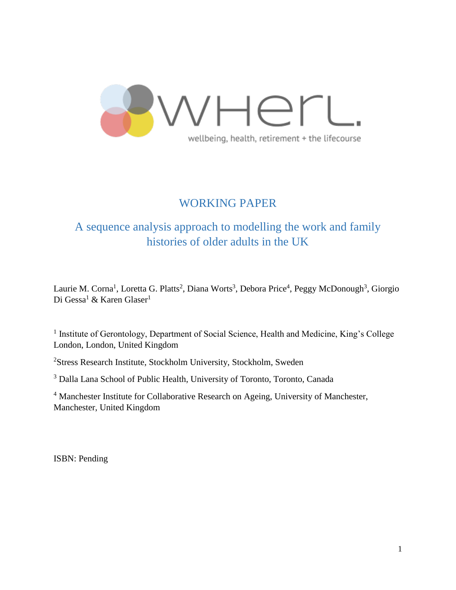

# WORKING PAPER

# A sequence analysis approach to modelling the work and family histories of older adults in the UK

Laurie M. Corna<sup>1</sup>, Loretta G. Platts<sup>2</sup>, Diana Worts<sup>3</sup>, Debora Price<sup>4</sup>, Peggy McDonough<sup>3</sup>, Giorgio Di Gessa<sup>1</sup> & Karen Glaser<sup>1</sup>

<sup>1</sup> Institute of Gerontology, Department of Social Science, Health and Medicine, King's College London, London, United Kingdom

<sup>2</sup>Stress Research Institute, Stockholm University, Stockholm, Sweden

<sup>3</sup> Dalla Lana School of Public Health, University of Toronto, Toronto, Canada

<sup>4</sup> Manchester Institute for Collaborative Research on Ageing, University of Manchester, Manchester, United Kingdom

ISBN: Pending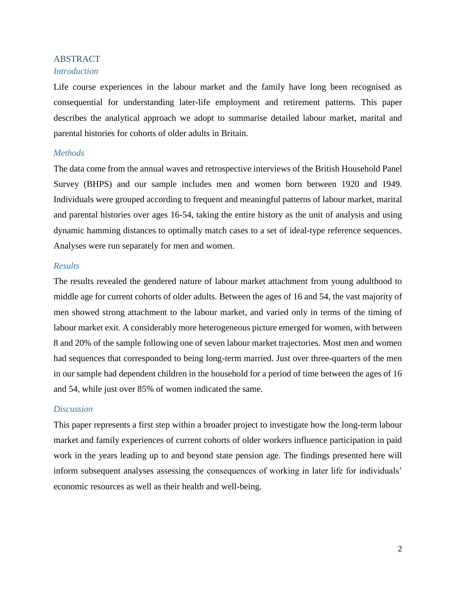# ABSTRACT

# *Introduction*

Life course experiences in the labour market and the family have long been recognised as consequential for understanding later-life employment and retirement patterns. This paper describes the analytical approach we adopt to summarise detailed labour market, marital and parental histories for cohorts of older adults in Britain.

## *Methods*

The data come from the annual waves and retrospective interviews of the British Household Panel Survey (BHPS) and our sample includes men and women born between 1920 and 1949. Individuals were grouped according to frequent and meaningful patterns of labour market, marital and parental histories over ages 16-54, taking the entire history as the unit of analysis and using dynamic hamming distances to optimally match cases to a set of ideal-type reference sequences. Analyses were run separately for men and women.

### *Results*

The results revealed the gendered nature of labour market attachment from young adulthood to middle age for current cohorts of older adults. Between the ages of 16 and 54, the vast majority of men showed strong attachment to the labour market, and varied only in terms of the timing of labour market exit. A considerably more heterogeneous picture emerged for women, with between 8 and 20% of the sample following one of seven labour market trajectories. Most men and women had sequences that corresponded to being long-term married. Just over three-quarters of the men in our sample had dependent children in the household for a period of time between the ages of 16 and 54, while just over 85% of women indicated the same.

# *Discussion*

This paper represents a first step within a broader project to investigate how the long-term labour market and family experiences of current cohorts of older workers influence participation in paid work in the years leading up to and beyond state pension age. The findings presented here will inform subsequent analyses assessing the consequences of working in later life for individuals' economic resources as well as their health and well-being.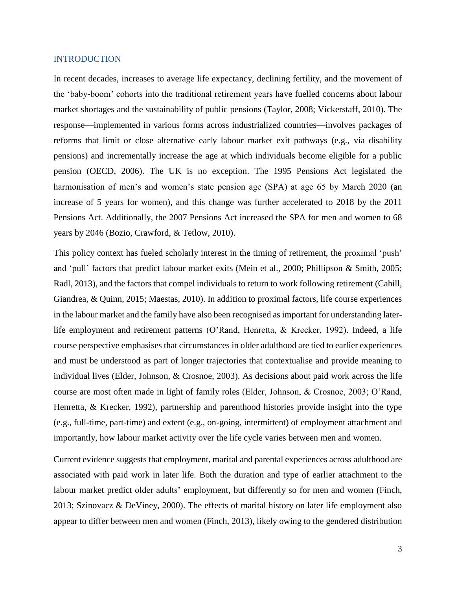### INTRODUCTION

In recent decades, increases to average life expectancy, declining fertility, and the movement of the 'baby-boom' cohorts into the traditional retirement years have fuelled concerns about labour market shortages and the sustainability of public pensions (Taylor, 2008; Vickerstaff, 2010). The response—implemented in various forms across industrialized countries—involves packages of reforms that limit or close alternative early labour market exit pathways (e.g., via disability pensions) and incrementally increase the age at which individuals become eligible for a public pension (OECD, 2006). The UK is no exception. The 1995 Pensions Act legislated the harmonisation of men's and women's state pension age (SPA) at age 65 by March 2020 (an increase of 5 years for women), and this change was further accelerated to 2018 by the 2011 Pensions Act. Additionally, the 2007 Pensions Act increased the SPA for men and women to 68 years by 2046 (Bozio, Crawford, & Tetlow, 2010).

This policy context has fueled scholarly interest in the timing of retirement, the proximal 'push' and 'pull' factors that predict labour market exits (Mein et al., 2000; Phillipson & Smith, 2005; Radl, 2013), and the factors that compel individuals to return to work following retirement (Cahill, Giandrea, & Quinn, 2015; Maestas, 2010). In addition to proximal factors, life course experiences in the labour market and the family have also been recognised as important for understanding laterlife employment and retirement patterns (O'Rand, Henretta, & Krecker, 1992). Indeed, a life course perspective emphasises that circumstances in older adulthood are tied to earlier experiences and must be understood as part of longer trajectories that contextualise and provide meaning to individual lives (Elder, Johnson, & Crosnoe, 2003). As decisions about paid work across the life course are most often made in light of family roles (Elder, Johnson, & Crosnoe, 2003; O'Rand, Henretta, & Krecker, 1992), partnership and parenthood histories provide insight into the type (e.g., full-time, part-time) and extent (e.g., on-going, intermittent) of employment attachment and importantly, how labour market activity over the life cycle varies between men and women.

Current evidence suggests that employment, marital and parental experiences across adulthood are associated with paid work in later life. Both the duration and type of earlier attachment to the labour market predict older adults' employment, but differently so for men and women (Finch, 2013; Szinovacz & DeViney, 2000). The effects of marital history on later life employment also appear to differ between men and women (Finch, 2013), likely owing to the gendered distribution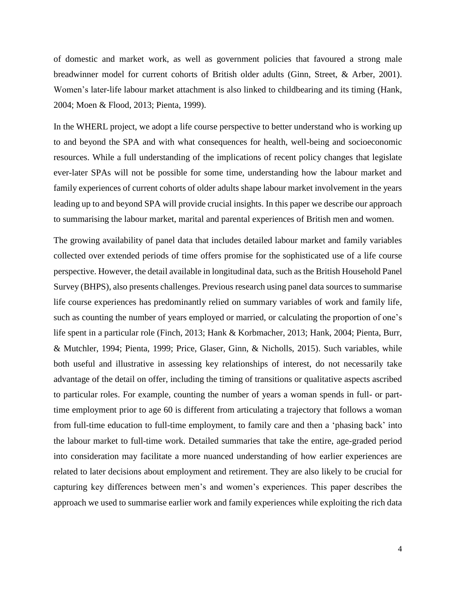of domestic and market work, as well as government policies that favoured a strong male breadwinner model for current cohorts of British older adults (Ginn, Street, & Arber, 2001). Women's later-life labour market attachment is also linked to childbearing and its timing (Hank, 2004; Moen & Flood, 2013; Pienta, 1999).

In the WHERL project, we adopt a life course perspective to better understand who is working up to and beyond the SPA and with what consequences for health, well-being and socioeconomic resources. While a full understanding of the implications of recent policy changes that legislate ever-later SPAs will not be possible for some time, understanding how the labour market and family experiences of current cohorts of older adults shape labour market involvement in the years leading up to and beyond SPA will provide crucial insights. In this paper we describe our approach to summarising the labour market, marital and parental experiences of British men and women.

The growing availability of panel data that includes detailed labour market and family variables collected over extended periods of time offers promise for the sophisticated use of a life course perspective. However, the detail available in longitudinal data, such as the British Household Panel Survey (BHPS), also presents challenges. Previous research using panel data sources to summarise life course experiences has predominantly relied on summary variables of work and family life, such as counting the number of years employed or married, or calculating the proportion of one's life spent in a particular role (Finch, 2013; Hank & Korbmacher, 2013; Hank, 2004; Pienta, Burr, & Mutchler, 1994; Pienta, 1999; Price, Glaser, Ginn, & Nicholls, 2015). Such variables, while both useful and illustrative in assessing key relationships of interest, do not necessarily take advantage of the detail on offer, including the timing of transitions or qualitative aspects ascribed to particular roles. For example, counting the number of years a woman spends in full- or parttime employment prior to age 60 is different from articulating a trajectory that follows a woman from full-time education to full-time employment, to family care and then a 'phasing back' into the labour market to full-time work. Detailed summaries that take the entire, age-graded period into consideration may facilitate a more nuanced understanding of how earlier experiences are related to later decisions about employment and retirement. They are also likely to be crucial for capturing key differences between men's and women's experiences. This paper describes the approach we used to summarise earlier work and family experiences while exploiting the rich data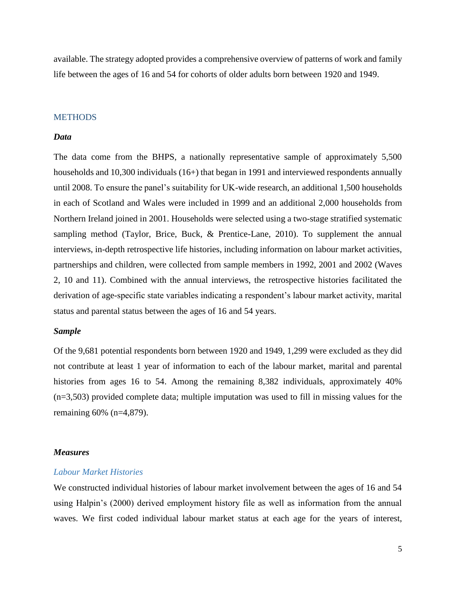available. The strategy adopted provides a comprehensive overview of patterns of work and family life between the ages of 16 and 54 for cohorts of older adults born between 1920 and 1949.

### **METHODS**

### *Data*

The data come from the BHPS, a nationally representative sample of approximately 5,500 households and 10,300 individuals (16+) that began in 1991 and interviewed respondents annually until 2008. To ensure the panel's suitability for UK-wide research, an additional 1,500 households in each of Scotland and Wales were included in 1999 and an additional 2,000 households from Northern Ireland joined in 2001. Households were selected using a two-stage stratified systematic sampling method (Taylor, Brice, Buck, & Prentice-Lane, 2010). To supplement the annual interviews, in-depth retrospective life histories, including information on labour market activities, partnerships and children, were collected from sample members in 1992, 2001 and 2002 (Waves 2, 10 and 11). Combined with the annual interviews, the retrospective histories facilitated the derivation of age-specific state variables indicating a respondent's labour market activity, marital status and parental status between the ages of 16 and 54 years.

### *Sample*

Of the 9,681 potential respondents born between 1920 and 1949, 1,299 were excluded as they did not contribute at least 1 year of information to each of the labour market, marital and parental histories from ages 16 to 54. Among the remaining 8,382 individuals, approximately 40% (n=3,503) provided complete data; multiple imputation was used to fill in missing values for the remaining 60% (n=4,879).

### *Measures*

## *Labour Market Histories*

We constructed individual histories of labour market involvement between the ages of 16 and 54 using Halpin's (2000) derived employment history file as well as information from the annual waves. We first coded individual labour market status at each age for the years of interest,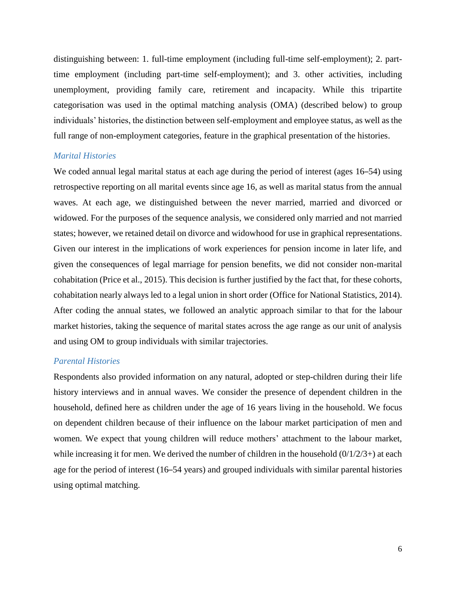distinguishing between: 1. full-time employment (including full-time self-employment); 2. parttime employment (including part-time self-employment); and 3. other activities, including unemployment, providing family care, retirement and incapacity. While this tripartite categorisation was used in the optimal matching analysis (OMA) (described below) to group individuals' histories, the distinction between self-employment and employee status, as well as the full range of non-employment categories, feature in the graphical presentation of the histories.

### *Marital Histories*

We coded annual legal marital status at each age during the period of interest (ages 16–54) using retrospective reporting on all marital events since age 16, as well as marital status from the annual waves. At each age, we distinguished between the never married, married and divorced or widowed. For the purposes of the sequence analysis, we considered only married and not married states; however, we retained detail on divorce and widowhood for use in graphical representations. Given our interest in the implications of work experiences for pension income in later life, and given the consequences of legal marriage for pension benefits, we did not consider non-marital cohabitation (Price et al., 2015). This decision is further justified by the fact that, for these cohorts, cohabitation nearly always led to a legal union in short order (Office for National Statistics, 2014). After coding the annual states, we followed an analytic approach similar to that for the labour market histories, taking the sequence of marital states across the age range as our unit of analysis and using OM to group individuals with similar trajectories.

## *Parental Histories*

Respondents also provided information on any natural, adopted or step-children during their life history interviews and in annual waves. We consider the presence of dependent children in the household, defined here as children under the age of 16 years living in the household. We focus on dependent children because of their influence on the labour market participation of men and women. We expect that young children will reduce mothers' attachment to the labour market, while increasing it for men. We derived the number of children in the household  $(0/1/2/3+)$  at each age for the period of interest (16–54 years) and grouped individuals with similar parental histories using optimal matching.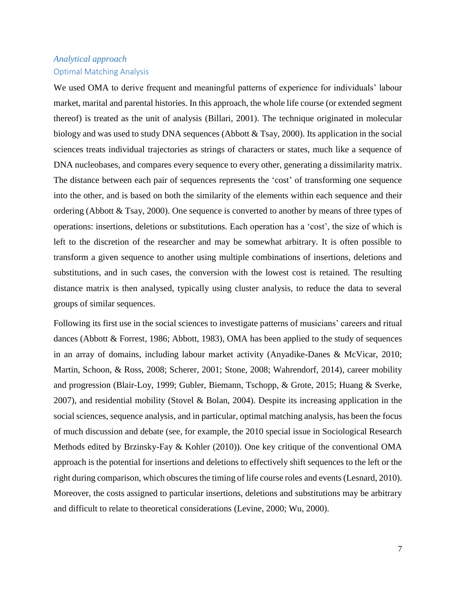# *Analytical approach* Optimal Matching Analysis

We used OMA to derive frequent and meaningful patterns of experience for individuals' labour market, marital and parental histories. In this approach, the whole life course (or extended segment thereof) is treated as the unit of analysis (Billari, 2001). The technique originated in molecular biology and was used to study DNA sequences (Abbott & Tsay, 2000). Its application in the social sciences treats individual trajectories as strings of characters or states, much like a sequence of DNA nucleobases, and compares every sequence to every other, generating a dissimilarity matrix. The distance between each pair of sequences represents the 'cost' of transforming one sequence into the other, and is based on both the similarity of the elements within each sequence and their ordering (Abbott & Tsay, 2000). One sequence is converted to another by means of three types of operations: insertions, deletions or substitutions. Each operation has a 'cost', the size of which is left to the discretion of the researcher and may be somewhat arbitrary. It is often possible to transform a given sequence to another using multiple combinations of insertions, deletions and substitutions, and in such cases, the conversion with the lowest cost is retained. The resulting distance matrix is then analysed, typically using cluster analysis, to reduce the data to several groups of similar sequences.

Following its first use in the social sciences to investigate patterns of musicians' careers and ritual dances (Abbott & Forrest, 1986; Abbott, 1983), OMA has been applied to the study of sequences in an array of domains, including labour market activity (Anyadike-Danes & McVicar, 2010; Martin, Schoon, & Ross, 2008; Scherer, 2001; Stone, 2008; Wahrendorf, 2014), career mobility and progression (Blair-Loy, 1999; Gubler, Biemann, Tschopp, & Grote, 2015; Huang & Sverke, 2007), and residential mobility (Stovel & Bolan, 2004). Despite its increasing application in the social sciences, sequence analysis, and in particular, optimal matching analysis, has been the focus of much discussion and debate (see, for example, the 2010 special issue in Sociological Research Methods edited by Brzinsky-Fay & Kohler (2010)). One key critique of the conventional OMA approach is the potential for insertions and deletions to effectively shift sequences to the left or the right during comparison, which obscures the timing of life course roles and events (Lesnard, 2010). Moreover, the costs assigned to particular insertions, deletions and substitutions may be arbitrary and difficult to relate to theoretical considerations (Levine, 2000; Wu, 2000).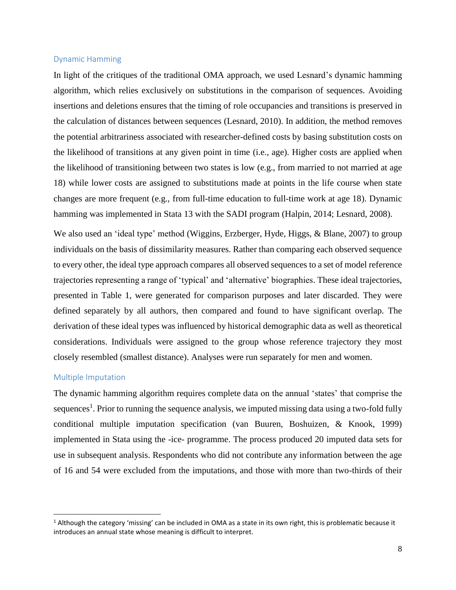### Dynamic Hamming

In light of the critiques of the traditional OMA approach, we used Lesnard's dynamic hamming algorithm, which relies exclusively on substitutions in the comparison of sequences. Avoiding insertions and deletions ensures that the timing of role occupancies and transitions is preserved in the calculation of distances between sequences (Lesnard, 2010). In addition, the method removes the potential arbitrariness associated with researcher-defined costs by basing substitution costs on the likelihood of transitions at any given point in time (i.e., age). Higher costs are applied when the likelihood of transitioning between two states is low (e.g., from married to not married at age 18) while lower costs are assigned to substitutions made at points in the life course when state changes are more frequent (e.g., from full-time education to full-time work at age 18). Dynamic hamming was implemented in Stata 13 with the SADI program (Halpin, 2014; Lesnard, 2008).

We also used an 'ideal type' method (Wiggins, Erzberger, Hyde, Higgs, & Blane, 2007) to group individuals on the basis of dissimilarity measures. Rather than comparing each observed sequence to every other, the ideal type approach compares all observed sequences to a set of model reference trajectories representing a range of 'typical' and 'alternative' biographies. These ideal trajectories, presented in Table 1, were generated for comparison purposes and later discarded. They were defined separately by all authors, then compared and found to have significant overlap. The derivation of these ideal types was influenced by historical demographic data as well as theoretical considerations. Individuals were assigned to the group whose reference trajectory they most closely resembled (smallest distance). Analyses were run separately for men and women.

### Multiple Imputation

l

The dynamic hamming algorithm requires complete data on the annual 'states' that comprise the sequences<sup>1</sup>. Prior to running the sequence analysis, we imputed missing data using a two-fold fully conditional multiple imputation specification (van Buuren, Boshuizen, & Knook, 1999) implemented in Stata using the -ice- programme. The process produced 20 imputed data sets for use in subsequent analysis. Respondents who did not contribute any information between the age of 16 and 54 were excluded from the imputations, and those with more than two-thirds of their

 $1$  Although the category 'missing' can be included in OMA as a state in its own right, this is problematic because it introduces an annual state whose meaning is difficult to interpret.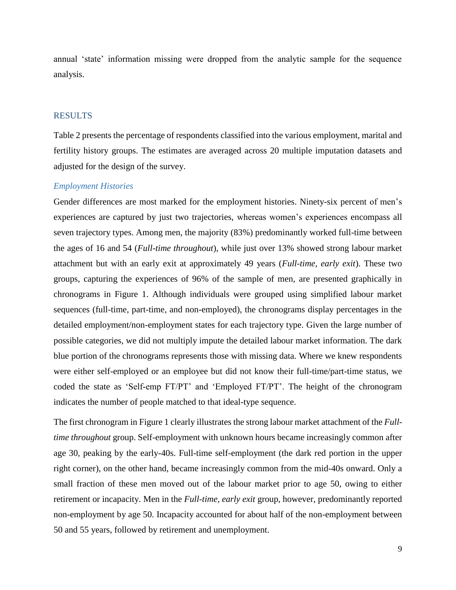annual 'state' information missing were dropped from the analytic sample for the sequence analysis.

# RESULTS

Table 2 presents the percentage of respondents classified into the various employment, marital and fertility history groups. The estimates are averaged across 20 multiple imputation datasets and adjusted for the design of the survey.

### *Employment Histories*

Gender differences are most marked for the employment histories. Ninety-six percent of men's experiences are captured by just two trajectories, whereas women's experiences encompass all seven trajectory types. Among men, the majority (83%) predominantly worked full-time between the ages of 16 and 54 (*Full-time throughout*), while just over 13% showed strong labour market attachment but with an early exit at approximately 49 years (*Full-time, early exit*). These two groups, capturing the experiences of 96% of the sample of men, are presented graphically in chronograms in Figure 1. Although individuals were grouped using simplified labour market sequences (full-time, part-time, and non-employed), the chronograms display percentages in the detailed employment/non-employment states for each trajectory type. Given the large number of possible categories, we did not multiply impute the detailed labour market information. The dark blue portion of the chronograms represents those with missing data. Where we knew respondents were either self-employed or an employee but did not know their full-time/part-time status, we coded the state as 'Self-emp FT/PT' and 'Employed FT/PT'. The height of the chronogram indicates the number of people matched to that ideal-type sequence.

The first chronogram in Figure 1 clearly illustrates the strong labour market attachment of the *Fulltime throughout* group. Self-employment with unknown hours became increasingly common after age 30, peaking by the early-40s. Full-time self-employment (the dark red portion in the upper right corner), on the other hand, became increasingly common from the mid-40s onward. Only a small fraction of these men moved out of the labour market prior to age 50, owing to either retirement or incapacity. Men in the *Full-time, early exit* group, however, predominantly reported non-employment by age 50. Incapacity accounted for about half of the non-employment between 50 and 55 years, followed by retirement and unemployment.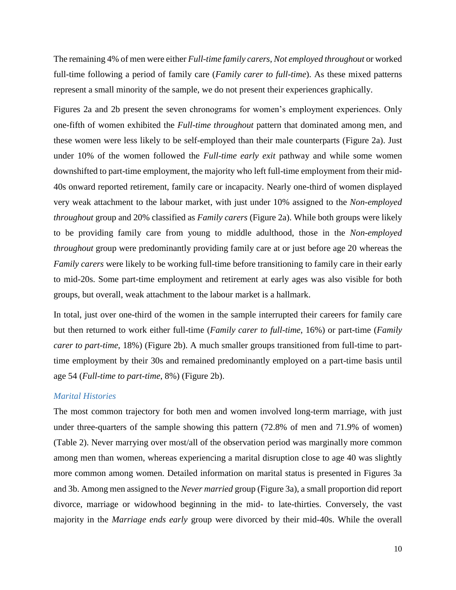The remaining 4% of men were either *Full-time family carers*, *Not employed throughout* or worked full-time following a period of family care (*Family carer to full-time*). As these mixed patterns represent a small minority of the sample, we do not present their experiences graphically.

Figures 2a and 2b present the seven chronograms for women's employment experiences. Only one-fifth of women exhibited the *Full-time throughout* pattern that dominated among men, and these women were less likely to be self-employed than their male counterparts (Figure 2a). Just under 10% of the women followed the *Full-time early exit* pathway and while some women downshifted to part-time employment, the majority who left full-time employment from their mid-40s onward reported retirement, family care or incapacity. Nearly one-third of women displayed very weak attachment to the labour market, with just under 10% assigned to the *Non-employed throughout* group and 20% classified as *Family carers* (Figure 2a). While both groups were likely to be providing family care from young to middle adulthood, those in the *Non-employed throughout* group were predominantly providing family care at or just before age 20 whereas the *Family carers* were likely to be working full-time before transitioning to family care in their early to mid-20s. Some part-time employment and retirement at early ages was also visible for both groups, but overall, weak attachment to the labour market is a hallmark.

In total, just over one-third of the women in the sample interrupted their careers for family care but then returned to work either full-time (*Family carer to full-time*, 16%) or part-time (*Family carer to part-time*, 18%) (Figure 2b). A much smaller groups transitioned from full-time to parttime employment by their 30s and remained predominantly employed on a part-time basis until age 54 (*Full-time to part-time*, 8%) (Figure 2b).

## *Marital Histories*

The most common trajectory for both men and women involved long-term marriage, with just under three-quarters of the sample showing this pattern (72.8% of men and 71.9% of women) (Table 2). Never marrying over most/all of the observation period was marginally more common among men than women, whereas experiencing a marital disruption close to age 40 was slightly more common among women. Detailed information on marital status is presented in Figures 3a and 3b. Among men assigned to the *Never married* group (Figure 3a), a small proportion did report divorce, marriage or widowhood beginning in the mid- to late-thirties. Conversely, the vast majority in the *Marriage ends early* group were divorced by their mid-40s. While the overall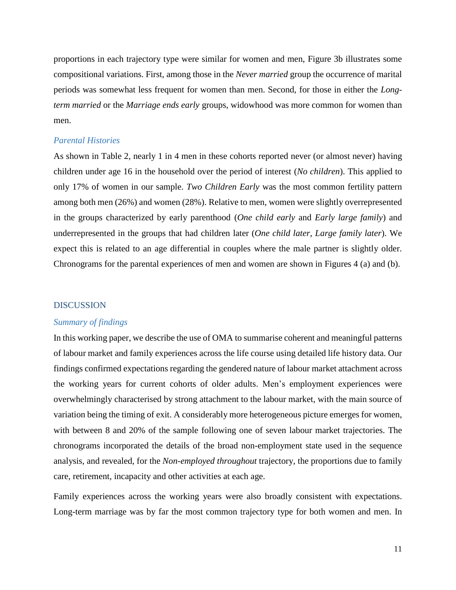proportions in each trajectory type were similar for women and men, Figure 3b illustrates some compositional variations. First, among those in the *Never married* group the occurrence of marital periods was somewhat less frequent for women than men. Second, for those in either the *Longterm married* or the *Marriage ends early* groups, widowhood was more common for women than men.

### *Parental Histories*

As shown in Table 2, nearly 1 in 4 men in these cohorts reported never (or almost never) having children under age 16 in the household over the period of interest (*No children*). This applied to only 17% of women in our sample. *Two Children Early* was the most common fertility pattern among both men (26%) and women (28%). Relative to men, women were slightly overrepresented in the groups characterized by early parenthood (*One child early* and *Early large family*) and underrepresented in the groups that had children later (*One child later*, *Large family later*). We expect this is related to an age differential in couples where the male partner is slightly older. Chronograms for the parental experiences of men and women are shown in Figures 4 (a) and (b).

### DISCUSSION

#### *Summary of findings*

In this working paper, we describe the use of OMA to summarise coherent and meaningful patterns of labour market and family experiences across the life course using detailed life history data. Our findings confirmed expectations regarding the gendered nature of labour market attachment across the working years for current cohorts of older adults. Men's employment experiences were overwhelmingly characterised by strong attachment to the labour market, with the main source of variation being the timing of exit. A considerably more heterogeneous picture emerges for women, with between 8 and 20% of the sample following one of seven labour market trajectories. The chronograms incorporated the details of the broad non-employment state used in the sequence analysis, and revealed, for the *Non-employed throughout* trajectory, the proportions due to family care, retirement, incapacity and other activities at each age.

Family experiences across the working years were also broadly consistent with expectations. Long-term marriage was by far the most common trajectory type for both women and men. In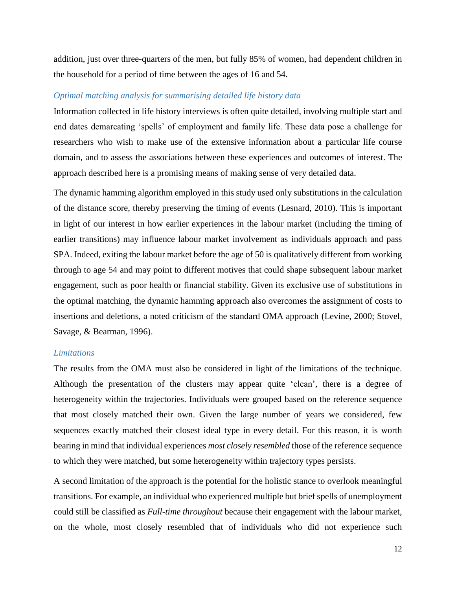addition, just over three-quarters of the men, but fully 85% of women, had dependent children in the household for a period of time between the ages of 16 and 54.

# *Optimal matching analysis for summarising detailed life history data*

Information collected in life history interviews is often quite detailed, involving multiple start and end dates demarcating 'spells' of employment and family life. These data pose a challenge for researchers who wish to make use of the extensive information about a particular life course domain, and to assess the associations between these experiences and outcomes of interest. The approach described here is a promising means of making sense of very detailed data.

The dynamic hamming algorithm employed in this study used only substitutions in the calculation of the distance score, thereby preserving the timing of events (Lesnard, 2010). This is important in light of our interest in how earlier experiences in the labour market (including the timing of earlier transitions) may influence labour market involvement as individuals approach and pass SPA. Indeed, exiting the labour market before the age of 50 is qualitatively different from working through to age 54 and may point to different motives that could shape subsequent labour market engagement, such as poor health or financial stability. Given its exclusive use of substitutions in the optimal matching, the dynamic hamming approach also overcomes the assignment of costs to insertions and deletions, a noted criticism of the standard OMA approach (Levine, 2000; Stovel, Savage, & Bearman, 1996).

### *Limitations*

The results from the OMA must also be considered in light of the limitations of the technique. Although the presentation of the clusters may appear quite 'clean', there is a degree of heterogeneity within the trajectories. Individuals were grouped based on the reference sequence that most closely matched their own. Given the large number of years we considered, few sequences exactly matched their closest ideal type in every detail. For this reason, it is worth bearing in mind that individual experiences *most closely resembled* those of the reference sequence to which they were matched, but some heterogeneity within trajectory types persists.

A second limitation of the approach is the potential for the holistic stance to overlook meaningful transitions. For example, an individual who experienced multiple but brief spells of unemployment could still be classified as *Full-time throughout* because their engagement with the labour market, on the whole, most closely resembled that of individuals who did not experience such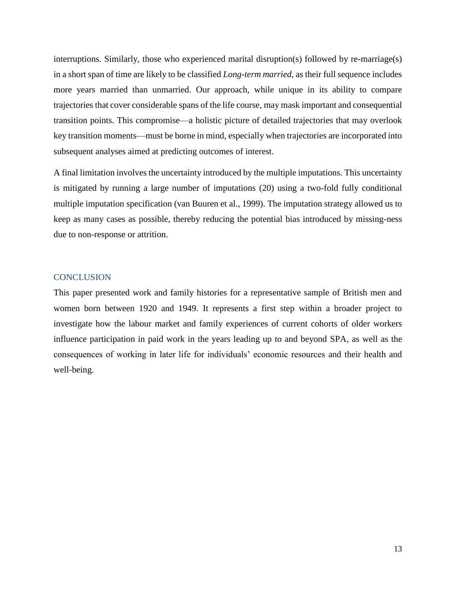interruptions. Similarly, those who experienced marital disruption(s) followed by re-marriage(s) in a short span of time are likely to be classified *Long-term married*, as their full sequence includes more years married than unmarried. Our approach, while unique in its ability to compare trajectories that cover considerable spans of the life course, may mask important and consequential transition points. This compromise—a holistic picture of detailed trajectories that may overlook key transition moments—must be borne in mind, especially when trajectories are incorporated into subsequent analyses aimed at predicting outcomes of interest.

A final limitation involves the uncertainty introduced by the multiple imputations. This uncertainty is mitigated by running a large number of imputations (20) using a two-fold fully conditional multiple imputation specification (van Buuren et al., 1999). The imputation strategy allowed us to keep as many cases as possible, thereby reducing the potential bias introduced by missing-ness due to non-response or attrition.

### **CONCLUSION**

This paper presented work and family histories for a representative sample of British men and women born between 1920 and 1949. It represents a first step within a broader project to investigate how the labour market and family experiences of current cohorts of older workers influence participation in paid work in the years leading up to and beyond SPA, as well as the consequences of working in later life for individuals' economic resources and their health and well-being.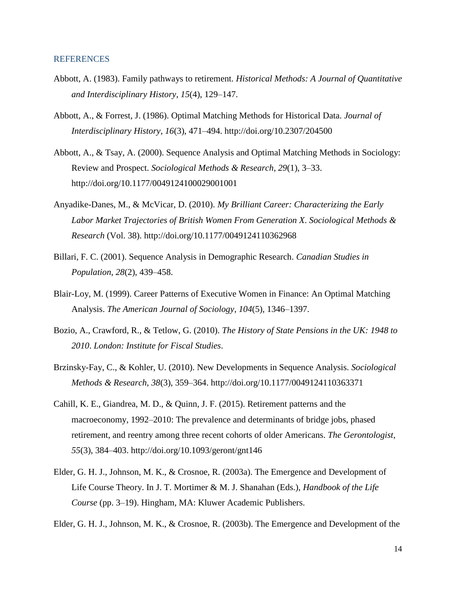### REFERENCES

- Abbott, A. (1983). Family pathways to retirement. *Historical Methods: A Journal of Quantitative and Interdisciplinary History*, *15*(4), 129–147.
- Abbott, A., & Forrest, J. (1986). Optimal Matching Methods for Historical Data. *Journal of Interdisciplinary History*, *16*(3), 471–494. http://doi.org/10.2307/204500
- Abbott, A., & Tsay, A. (2000). Sequence Analysis and Optimal Matching Methods in Sociology: Review and Prospect. *Sociological Methods & Research*, *29*(1), 3–33. http://doi.org/10.1177/0049124100029001001
- Anyadike-Danes, M., & McVicar, D. (2010). *My Brilliant Career: Characterizing the Early Labor Market Trajectories of British Women From Generation X*. *Sociological Methods & Research* (Vol. 38). http://doi.org/10.1177/0049124110362968
- Billari, F. C. (2001). Sequence Analysis in Demographic Research. *Canadian Studies in Population*, *28*(2), 439–458.
- Blair-Loy, M. (1999). Career Patterns of Executive Women in Finance: An Optimal Matching Analysis. *The American Journal of Sociology*, *104*(5), 1346–1397.
- Bozio, A., Crawford, R., & Tetlow, G. (2010). *The History of State Pensions in the UK: 1948 to 2010*. *London: Institute for Fiscal Studies*.
- Brzinsky-Fay, C., & Kohler, U. (2010). New Developments in Sequence Analysis. *Sociological Methods & Research*, *38*(3), 359–364. http://doi.org/10.1177/0049124110363371
- Cahill, K. E., Giandrea, M. D., & Quinn, J. F. (2015). Retirement patterns and the macroeconomy, 1992–2010: The prevalence and determinants of bridge jobs, phased retirement, and reentry among three recent cohorts of older Americans. *The Gerontologist*, *55*(3), 384–403. http://doi.org/10.1093/geront/gnt146
- Elder, G. H. J., Johnson, M. K., & Crosnoe, R. (2003a). The Emergence and Development of Life Course Theory. In J. T. Mortimer & M. J. Shanahan (Eds.), *Handbook of the Life Course* (pp. 3–19). Hingham, MA: Kluwer Academic Publishers.
- Elder, G. H. J., Johnson, M. K., & Crosnoe, R. (2003b). The Emergence and Development of the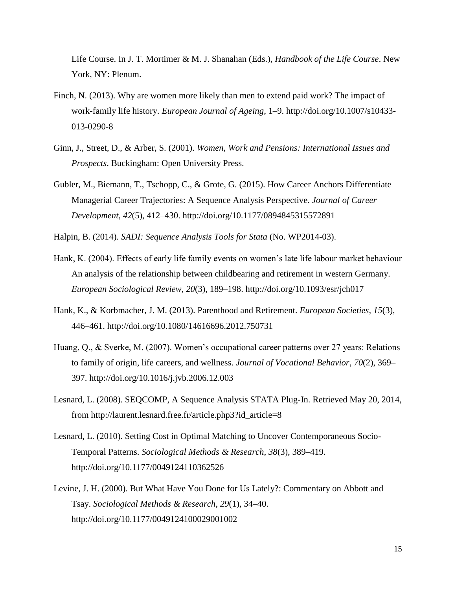Life Course. In J. T. Mortimer & M. J. Shanahan (Eds.), *Handbook of the Life Course*. New York, NY: Plenum.

- Finch, N. (2013). Why are women more likely than men to extend paid work? The impact of work-family life history. *European Journal of Ageing*, 1–9. http://doi.org/10.1007/s10433- 013-0290-8
- Ginn, J., Street, D., & Arber, S. (2001). *Women, Work and Pensions: International Issues and Prospects*. Buckingham: Open University Press.
- Gubler, M., Biemann, T., Tschopp, C., & Grote, G. (2015). How Career Anchors Differentiate Managerial Career Trajectories: A Sequence Analysis Perspective. *Journal of Career Development*, *42*(5), 412–430. http://doi.org/10.1177/0894845315572891

Halpin, B. (2014). *SADI: Sequence Analysis Tools for Stata* (No. WP2014-03).

- Hank, K. (2004). Effects of early life family events on women's late life labour market behaviour An analysis of the relationship between childbearing and retirement in western Germany. *European Sociological Review*, *20*(3), 189–198. http://doi.org/10.1093/esr/jch017
- Hank, K., & Korbmacher, J. M. (2013). Parenthood and Retirement. *European Societies*, *15*(3), 446–461. http://doi.org/10.1080/14616696.2012.750731
- Huang, Q., & Sverke, M. (2007). Women's occupational career patterns over 27 years: Relations to family of origin, life careers, and wellness. *Journal of Vocational Behavior*, *70*(2), 369– 397. http://doi.org/10.1016/j.jvb.2006.12.003
- Lesnard, L. (2008). SEQCOMP, A Sequence Analysis STATA Plug-In. Retrieved May 20, 2014, from http://laurent.lesnard.free.fr/article.php3?id\_article=8
- Lesnard, L. (2010). Setting Cost in Optimal Matching to Uncover Contemporaneous Socio-Temporal Patterns. *Sociological Methods & Research*, *38*(3), 389–419. http://doi.org/10.1177/0049124110362526
- Levine, J. H. (2000). But What Have You Done for Us Lately?: Commentary on Abbott and Tsay. *Sociological Methods & Research*, *29*(1), 34–40. http://doi.org/10.1177/0049124100029001002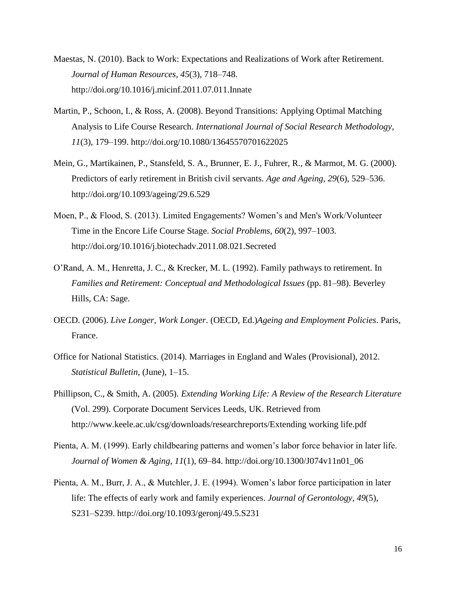- Maestas, N. (2010). Back to Work: Expectations and Realizations of Work after Retirement. *Journal of Human Resources*, *45*(3), 718–748. http://doi.org/10.1016/j.micinf.2011.07.011.Innate
- Martin, P., Schoon, I., & Ross, A. (2008). Beyond Transitions: Applying Optimal Matching Analysis to Life Course Research. *International Journal of Social Research Methodology*, *11*(3), 179–199. http://doi.org/10.1080/13645570701622025
- Mein, G., Martikainen, P., Stansfeld, S. A., Brunner, E. J., Fuhrer, R., & Marmot, M. G. (2000). Predictors of early retirement in British civil servants. *Age and Ageing*, *29*(6), 529–536. http://doi.org/10.1093/ageing/29.6.529
- Moen, P., & Flood, S. (2013). Limited Engagements? Women's and Men's Work/Volunteer Time in the Encore Life Course Stage. *Social Problems*, *60*(2), 997–1003. http://doi.org/10.1016/j.biotechadv.2011.08.021.Secreted
- O'Rand, A. M., Henretta, J. C., & Krecker, M. L. (1992). Family pathways to retirement. In *Families and Retirement: Conceptual and Methodological Issues* (pp. 81–98). Beverley Hills, CA: Sage.
- OECD. (2006). *Live Longer, Work Longer*. (OECD, Ed.)*Ageing and Employment Policies*. Paris, France.
- Office for National Statistics. (2014). Marriages in England and Wales (Provisional), 2012. *Statistical Bulletin*, (June), 1–15.
- Phillipson, C., & Smith, A. (2005). *Extending Working Life: A Review of the Research Literature* (Vol. 299). Corporate Document Services Leeds, UK. Retrieved from http://www.keele.ac.uk/csg/downloads/researchreports/Extending working life.pdf
- Pienta, A. M. (1999). Early childbearing patterns and women's labor force behavior in later life. *Journal of Women & Aging*, *11*(1), 69–84. http://doi.org/10.1300/J074v11n01\_06
- Pienta, A. M., Burr, J. A., & Mutchler, J. E. (1994). Women's labor force participation in later life: The effects of early work and family experiences. *Journal of Gerontology*, *49*(5), S231–S239. http://doi.org/10.1093/geronj/49.5.S231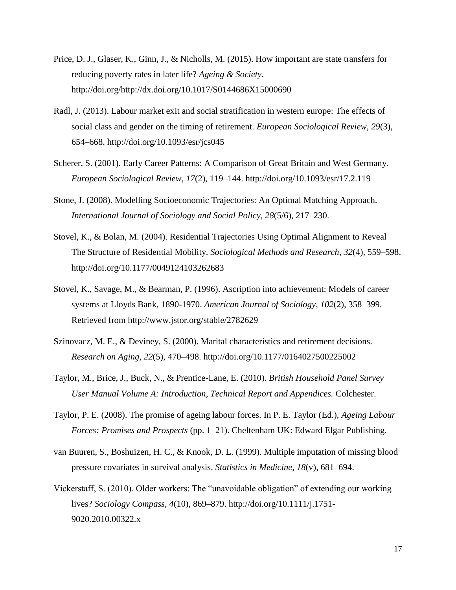- Price, D. J., Glaser, K., Ginn, J., & Nicholls, M. (2015). How important are state transfers for reducing poverty rates in later life? *Ageing & Society*. http://doi.org/http://dx.doi.org/10.1017/S0144686X15000690
- Radl, J. (2013). Labour market exit and social stratification in western europe: The effects of social class and gender on the timing of retirement. *European Sociological Review*, *29*(3), 654–668. http://doi.org/10.1093/esr/jcs045
- Scherer, S. (2001). Early Career Patterns: A Comparison of Great Britain and West Germany. *European Sociological Review*, *17*(2), 119–144. http://doi.org/10.1093/esr/17.2.119
- Stone, J. (2008). Modelling Socioeconomic Trajectories: An Optimal Matching Approach. *International Journal of Sociology and Social Policy*, *28*(5/6), 217–230.
- Stovel, K., & Bolan, M. (2004). Residential Trajectories Using Optimal Alignment to Reveal The Structure of Residential Mobility. *Sociological Methods and Research*, *32*(4), 559–598. http://doi.org/10.1177/0049124103262683
- Stovel, K., Savage, M., & Bearman, P. (1996). Ascription into achievement: Models of career systems at Lloyds Bank, 1890-1970. *American Journal of Sociology*, *102*(2), 358–399. Retrieved from http://www.jstor.org/stable/2782629
- Szinovacz, M. E., & Deviney, S. (2000). Marital characteristics and retirement decisions. *Research on Aging*, *22*(5), 470–498. http://doi.org/10.1177/0164027500225002
- Taylor, M., Brice, J., Buck, N., & Prentice-Lane, E. (2010). *British Household Panel Survey User Manual Volume A: Introduction, Technical Report and Appendices.* Colchester.
- Taylor, P. E. (2008). The promise of ageing labour forces. In P. E. Taylor (Ed.), *Ageing Labour Forces: Promises and Prospects* (pp. 1–21). Cheltenham UK: Edward Elgar Publishing.
- van Buuren, S., Boshuizen, H. C., & Knook, D. L. (1999). Multiple imputation of missing blood pressure covariates in survival analysis. *Statistics in Medicine*, *18*(v), 681–694.
- Vickerstaff, S. (2010). Older workers: The "unavoidable obligation" of extending our working lives? *Sociology Compass*, *4*(10), 869–879. http://doi.org/10.1111/j.1751- 9020.2010.00322.x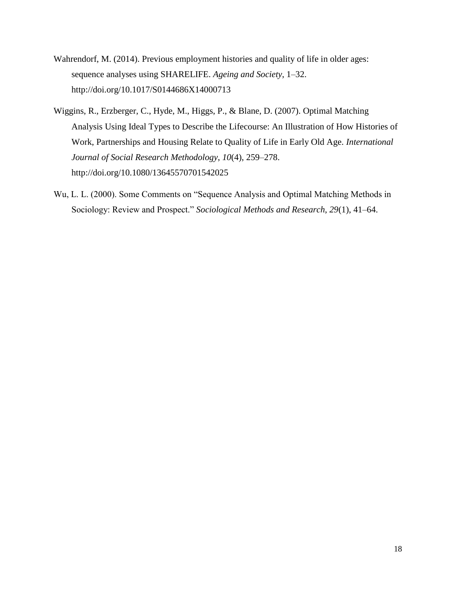- Wahrendorf, M. (2014). Previous employment histories and quality of life in older ages: sequence analyses using SHARELIFE. *Ageing and Society*, 1–32. http://doi.org/10.1017/S0144686X14000713
- Wiggins, R., Erzberger, C., Hyde, M., Higgs, P., & Blane, D. (2007). Optimal Matching Analysis Using Ideal Types to Describe the Lifecourse: An Illustration of How Histories of Work, Partnerships and Housing Relate to Quality of Life in Early Old Age. *International Journal of Social Research Methodology*, *10*(4), 259–278. http://doi.org/10.1080/13645570701542025
- Wu, L. L. (2000). Some Comments on "Sequence Analysis and Optimal Matching Methods in Sociology: Review and Prospect." *Sociological Methods and Research*, *29*(1), 41–64.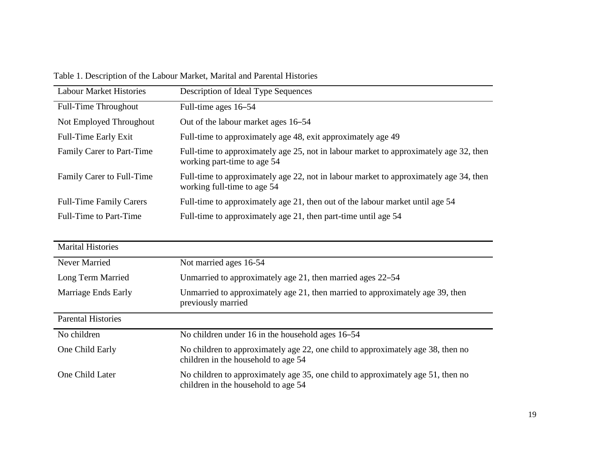Table 1. Description of the Labour Market, Marital and Parental Histories

| <b>Labour Market Histories</b> | Description of Ideal Type Sequences                                                                                  |
|--------------------------------|----------------------------------------------------------------------------------------------------------------------|
| Full-Time Throughout           | Full-time ages 16–54                                                                                                 |
| Not Employed Throughout        | Out of the labour market ages 16–54                                                                                  |
| Full-Time Early Exit           | Full-time to approximately age 48, exit approximately age 49                                                         |
| Family Carer to Part-Time      | Full-time to approximately age 25, not in labour market to approximately age 32, then<br>working part-time to age 54 |
| Family Carer to Full-Time      | Full-time to approximately age 22, not in labour market to approximately age 34, then<br>working full-time to age 54 |
| <b>Full-Time Family Carers</b> | Full-time to approximately age 21, then out of the labour market until age 54                                        |
| <b>Full-Time to Part-Time</b>  | Full-time to approximately age 21, then part-time until age 54                                                       |

| <b>Marital Histories</b>  |                                                                                                                        |
|---------------------------|------------------------------------------------------------------------------------------------------------------------|
| Never Married             | Not married ages 16-54                                                                                                 |
| Long Term Married         | Unmarried to approximately age 21, then married ages 22–54                                                             |
| Marriage Ends Early       | Unmarried to approximately age 21, then married to approximately age 39, then<br>previously married                    |
| <b>Parental Histories</b> |                                                                                                                        |
| No children               | No children under 16 in the household ages 16–54                                                                       |
| One Child Early           | No children to approximately age 22, one child to approximately age 38, then no<br>children in the household to age 54 |
| One Child Later           | No children to approximately age 35, one child to approximately age 51, then no<br>children in the household to age 54 |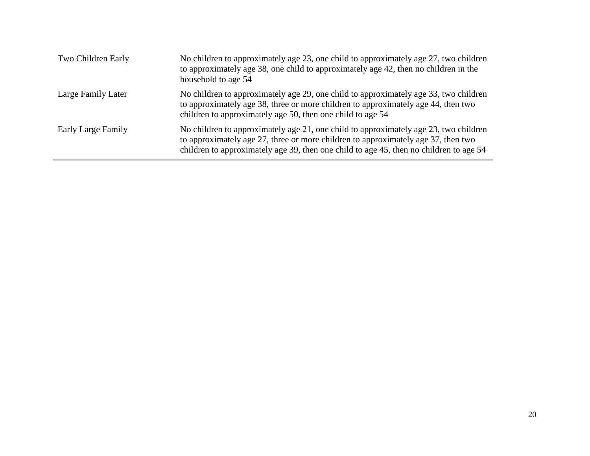| Two Children Early | No children to approximately age 23, one child to approximately age 27, two children<br>to approximately age 38, one child to approximately age 42, then no children in the<br>household to age 54                                                                  |
|--------------------|---------------------------------------------------------------------------------------------------------------------------------------------------------------------------------------------------------------------------------------------------------------------|
| Large Family Later | No children to approximately age 29, one child to approximately age 33, two children<br>to approximately age 38, three or more children to approximately age 44, then two<br>children to approximately age 50, then one child to age 54                             |
| Early Large Family | No children to approximately age 21, one child to approximately age 23, two children<br>to approximately age 27, three or more children to approximately age 37, then two<br>children to approximately age 39, then one child to age 45, then no children to age 54 |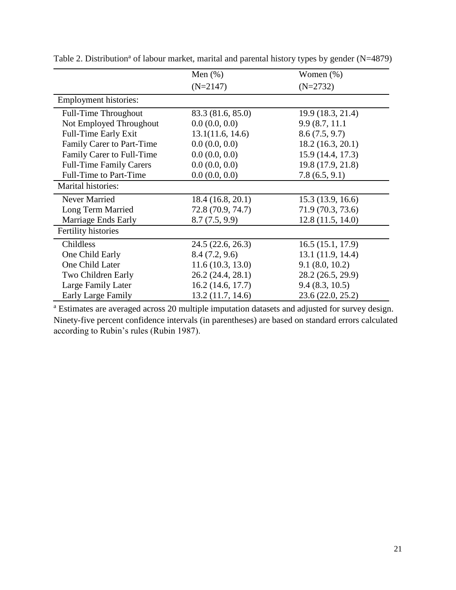|                                | Men $(\%)$        | Women $(\%)$      |
|--------------------------------|-------------------|-------------------|
|                                | $(N=2147)$        | $(N=2732)$        |
| Employment histories:          |                   |                   |
| Full-Time Throughout           | 83.3 (81.6, 85.0) | 19.9 (18.3, 21.4) |
| Not Employed Throughout        | 0.0(0.0, 0.0)     | 9.9 (8.7, 11.1)   |
| <b>Full-Time Early Exit</b>    | 13.1(11.6, 14.6)  | 8.6(7.5, 9.7)     |
| Family Carer to Part-Time      | 0.0(0.0, 0.0)     | 18.2 (16.3, 20.1) |
| Family Carer to Full-Time      | 0.0(0.0, 0.0)     | 15.9 (14.4, 17.3) |
| <b>Full-Time Family Carers</b> | 0.0(0.0, 0.0)     | 19.8 (17.9, 21.8) |
| <b>Full-Time to Part-Time</b>  | 0.0(0.0, 0.0)     | 7.8(6.5, 9.1)     |
| Marital histories:             |                   |                   |
| Never Married                  | 18.4(16.8, 20.1)  | 15.3 (13.9, 16.6) |
| Long Term Married              | 72.8 (70.9, 74.7) | 71.9 (70.3, 73.6) |
| Marriage Ends Early            | 8.7(7.5, 9.9)     | 12.8(11.5, 14.0)  |
| Fertility histories            |                   |                   |
| Childless                      | 24.5 (22.6, 26.3) | 16.5(15.1, 17.9)  |
| One Child Early                | 8.4(7.2, 9.6)     | 13.1 (11.9, 14.4) |
| One Child Later                | 11.6(10.3, 13.0)  | 9.1(8.0, 10.2)    |
| Two Children Early             | 26.2 (24.4, 28.1) | 28.2 (26.5, 29.9) |
| Large Family Later             | 16.2(14.6, 17.7)  | 9.4(8.3, 10.5)    |
| <b>Early Large Family</b>      | 13.2 (11.7, 14.6) | 23.6 (22.0, 25.2) |

Table 2. Distribution<sup>a</sup> of labour market, marital and parental history types by gender (N=4879)

<sup>a</sup> Estimates are averaged across 20 multiple imputation datasets and adjusted for survey design. Ninety-five percent confidence intervals (in parentheses) are based on standard errors calculated according to Rubin's rules (Rubin 1987).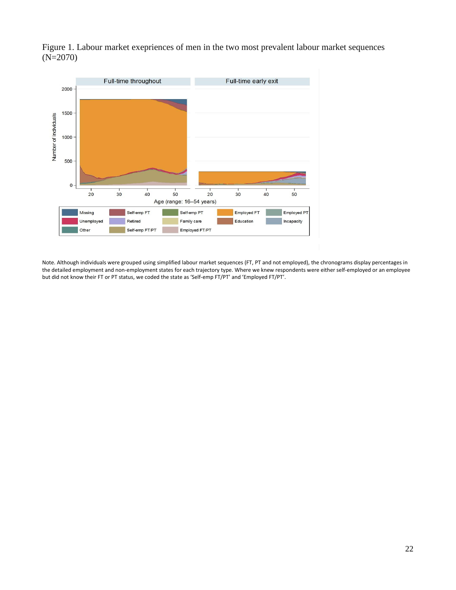

Figure 1. Labour market exepriences of men in the two most prevalent labour market sequences  $(N=2070)$ 

Note. Although individuals were grouped using simplified labour market sequences (FT, PT and not employed), the chronograms display percentages in the detailed employment and non-employment states for each trajectory type. Where we knew respondents were either self-employed or an employee but did not know their FT or PT status, we coded the state as 'Self-emp FT/PT' and 'Employed FT/PT'.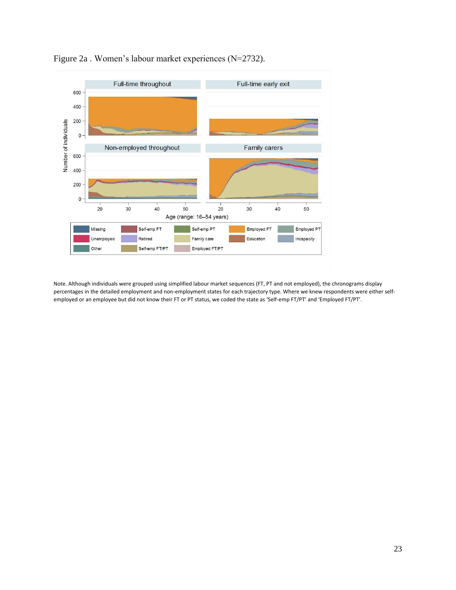

Figure 2a . Women's labour market experiences (N=2732).

Note. Although individuals were grouped using simplified labour market sequences (FT, PT and not employed), the chronograms display percentages in the detailed employment and non-employment states for each trajectory type. Where we knew respondents were either selfemployed or an employee but did not know their FT or PT status, we coded the state as 'Self-emp FT/PT' and 'Employed FT/PT'.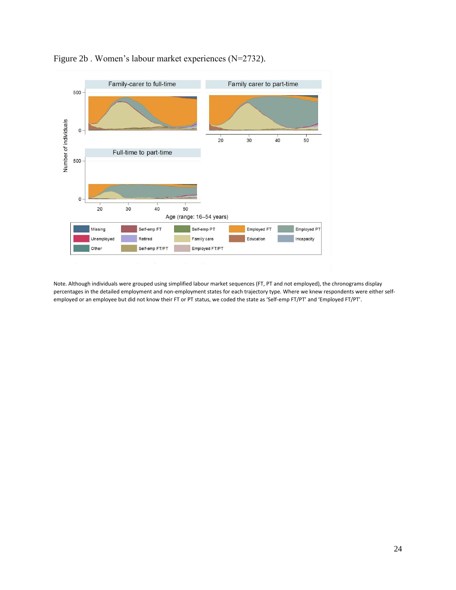

Figure 2b . Women's labour market experiences (N=2732).

Note. Although individuals were grouped using simplified labour market sequences (FT, PT and not employed), the chronograms display percentages in the detailed employment and non-employment states for each trajectory type. Where we knew respondents were either selfemployed or an employee but did not know their FT or PT status, we coded the state as 'Self-emp FT/PT' and 'Employed FT/PT'.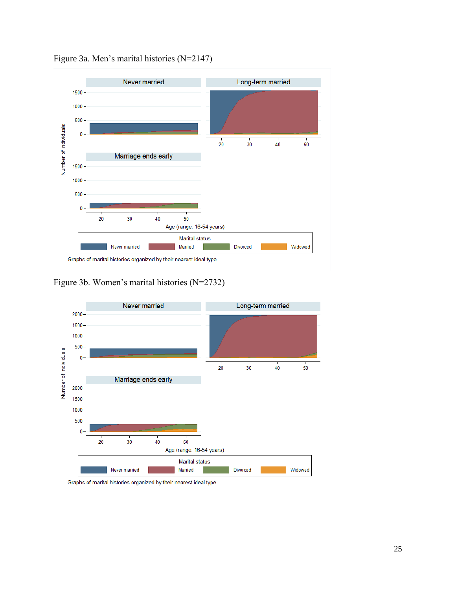

Figure 3a. Men's marital histories (N=2147)

Figure 3b. Women's marital histories (N=2732)



Graphs of marital histories organized by their nearest ideal type.